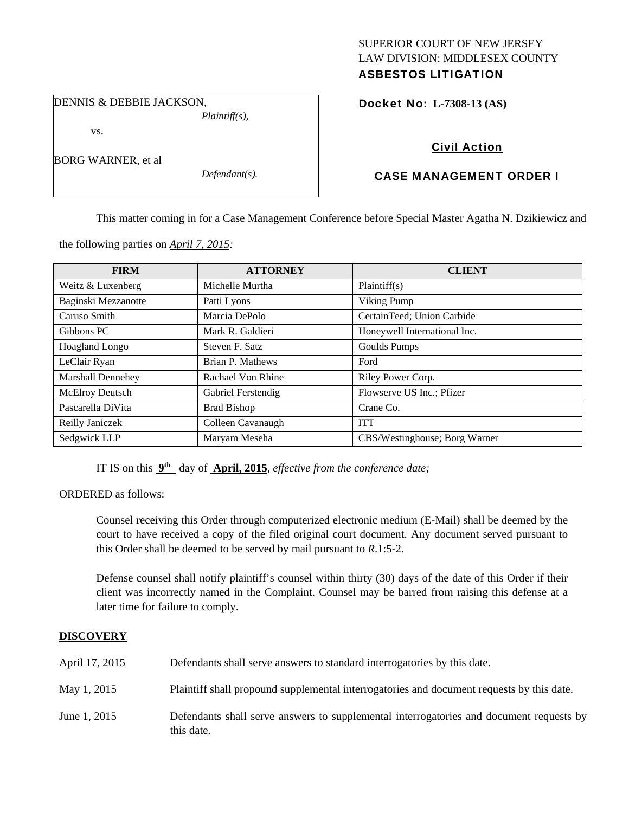## SUPERIOR COURT OF NEW JERSEY LAW DIVISION: MIDDLESEX COUNTY ASBESTOS LITIGATION

DENNIS & DEBBIE JACKSON, *Plaintiff(s),* 

vs.

BORG WARNER, et al

*Defendant(s).* 

Docket No: **L-7308-13 (AS)** 

# Civil Action

# CASE MANAGEMENT ORDER I

This matter coming in for a Case Management Conference before Special Master Agatha N. Dzikiewicz and

| <b>FIRM</b>              | <b>ATTORNEY</b>    | <b>CLIENT</b>                 |
|--------------------------|--------------------|-------------------------------|
| Weitz & Luxenberg        | Michelle Murtha    | Plaintiff(s)                  |
| Baginski Mezzanotte      | Patti Lyons        | Viking Pump                   |
| Caruso Smith             | Marcia DePolo      | CertainTeed; Union Carbide    |
| Gibbons PC               | Mark R. Galdieri   | Honeywell International Inc.  |
| <b>Hoagland Longo</b>    | Steven F. Satz     | Goulds Pumps                  |
| LeClair Ryan             | Brian P. Mathews   | Ford                          |
| <b>Marshall Dennehey</b> | Rachael Von Rhine  | Riley Power Corp.             |
| <b>McElroy Deutsch</b>   | Gabriel Ferstendig | Flowserve US Inc.; Pfizer     |
| Pascarella DiVita        | <b>Brad Bishop</b> | Crane Co.                     |
| Reilly Janiczek          | Colleen Cavanaugh  | <b>ITT</b>                    |
| Sedgwick LLP             | Maryam Meseha      | CBS/Westinghouse; Borg Warner |

the following parties on *April 7, 2015:* 

IT IS on this **9th** day of **April, 2015**, *effective from the conference date;*

ORDERED as follows:

Counsel receiving this Order through computerized electronic medium (E-Mail) shall be deemed by the court to have received a copy of the filed original court document. Any document served pursuant to this Order shall be deemed to be served by mail pursuant to *R*.1:5-2.

Defense counsel shall notify plaintiff's counsel within thirty (30) days of the date of this Order if their client was incorrectly named in the Complaint. Counsel may be barred from raising this defense at a later time for failure to comply.

# **DISCOVERY**

| April 17, 2015 | Defendants shall serve answers to standard interrogatories by this date.                              |
|----------------|-------------------------------------------------------------------------------------------------------|
| May 1, 2015    | Plaintiff shall propound supplemental interrogatories and document requests by this date.             |
| June 1, 2015   | Defendants shall serve answers to supplemental interrogatories and document requests by<br>this date. |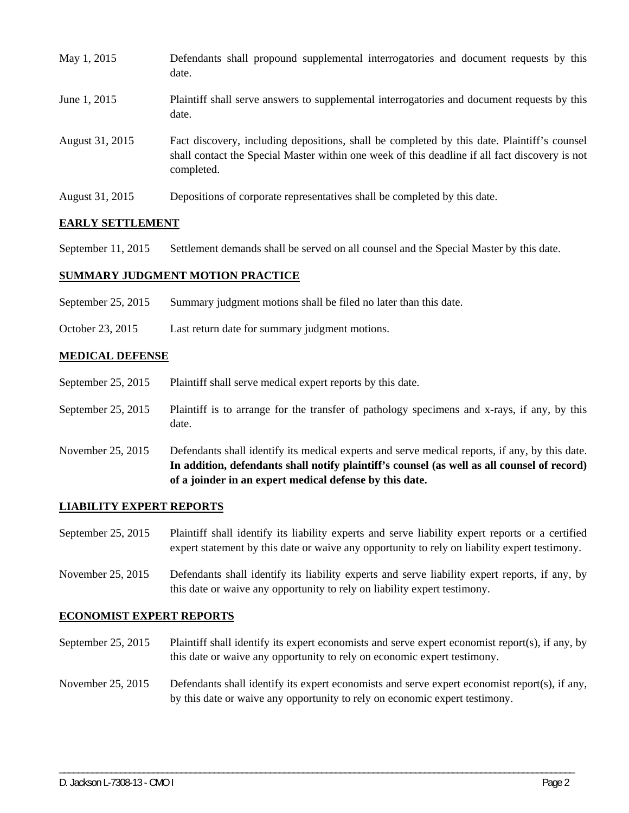| May 1, 2015     | Defendants shall propound supplemental interrogatories and document requests by this<br>date.                                                                                                               |
|-----------------|-------------------------------------------------------------------------------------------------------------------------------------------------------------------------------------------------------------|
| June 1, 2015    | Plaintiff shall serve answers to supplemental interrogatories and document requests by this<br>date.                                                                                                        |
| August 31, 2015 | Fact discovery, including depositions, shall be completed by this date. Plaintiff's counsel<br>shall contact the Special Master within one week of this deadline if all fact discovery is not<br>completed. |
| August 31, 2015 | Depositions of corporate representatives shall be completed by this date.                                                                                                                                   |

## **EARLY SETTLEMENT**

September 11, 2015 Settlement demands shall be served on all counsel and the Special Master by this date.

## **SUMMARY JUDGMENT MOTION PRACTICE**

- September 25, 2015 Summary judgment motions shall be filed no later than this date.
- October 23, 2015 Last return date for summary judgment motions.

## **MEDICAL DEFENSE**

- September 25, 2015 Plaintiff shall serve medical expert reports by this date.
- September 25, 2015 Plaintiff is to arrange for the transfer of pathology specimens and x-rays, if any, by this date.
- November 25, 2015 Defendants shall identify its medical experts and serve medical reports, if any, by this date. **In addition, defendants shall notify plaintiff's counsel (as well as all counsel of record) of a joinder in an expert medical defense by this date.**

### **LIABILITY EXPERT REPORTS**

- September 25, 2015 Plaintiff shall identify its liability experts and serve liability expert reports or a certified expert statement by this date or waive any opportunity to rely on liability expert testimony.
- November 25, 2015 Defendants shall identify its liability experts and serve liability expert reports, if any, by this date or waive any opportunity to rely on liability expert testimony.

### **ECONOMIST EXPERT REPORTS**

- September 25, 2015 Plaintiff shall identify its expert economists and serve expert economist report(s), if any, by this date or waive any opportunity to rely on economic expert testimony.
- November 25, 2015 Defendants shall identify its expert economists and serve expert economist report(s), if any, by this date or waive any opportunity to rely on economic expert testimony.

\_\_\_\_\_\_\_\_\_\_\_\_\_\_\_\_\_\_\_\_\_\_\_\_\_\_\_\_\_\_\_\_\_\_\_\_\_\_\_\_\_\_\_\_\_\_\_\_\_\_\_\_\_\_\_\_\_\_\_\_\_\_\_\_\_\_\_\_\_\_\_\_\_\_\_\_\_\_\_\_\_\_\_\_\_\_\_\_\_\_\_\_\_\_\_\_\_\_\_\_\_\_\_\_\_\_\_\_\_\_